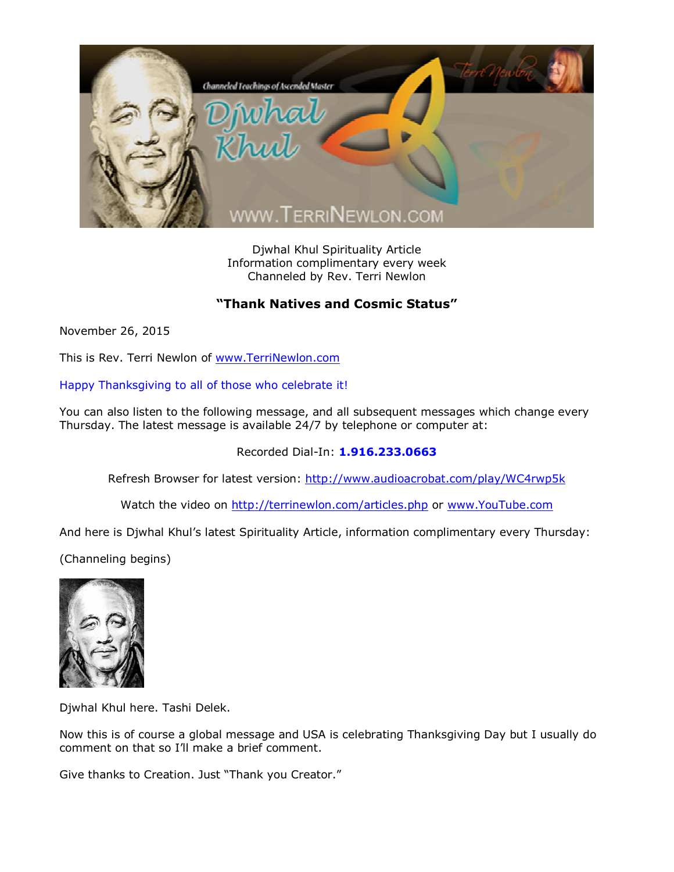

Djwhal Khul Spirituality Article Information complimentary every week Channeled by Rev. Terri Newlon

## **"Thank Natives and Cosmic Status"**

November 26, 2015

This is Rev. Terri Newlon of [www.TerriNewlon.com](http://www.terrinewlon.com/)

Happy Thanksgiving to all of those who celebrate it!

You can also listen to the following message, and all subsequent messages which change every Thursday. The latest message is available 24/7 by telephone or computer at:

Recorded Dial-In: **1.916.233.0663**

Refresh Browser for latest version: <http://www.audioacrobat.com/play/WC4rwp5k>

Watch the video on <http://terrinewlon.com/articles.php> or [www.YouTube.com](http://www.youtube.com/)

And here is Djwhal Khul's latest Spirituality Article, information complimentary every Thursday:

(Channeling begins)



Djwhal Khul here. Tashi Delek.

Now this is of course a global message and USA is celebrating Thanksgiving Day but I usually do comment on that so I'll make a brief comment.

Give thanks to Creation. Just "Thank you Creator."